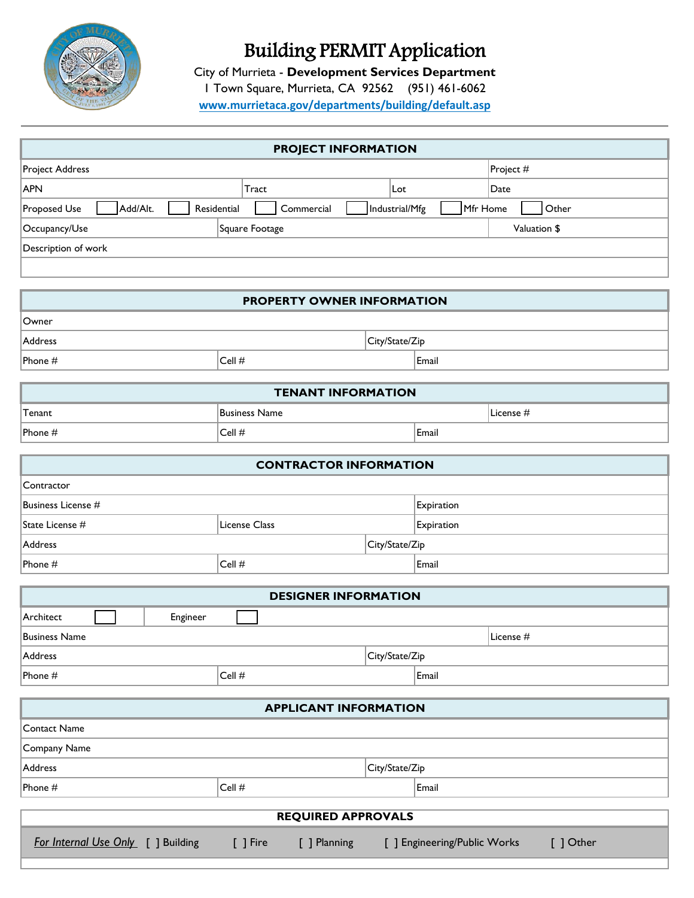

# Building PERMIT Application

City of Murrieta - **Development Services Department** 1 Town Square, Murrieta, CA 92562 (951) 461-6062 **[www.murrietaca.gov/departments/building/default.asp](http://www.murrietaca.gov/departments/building/default.asp)**

| PROJECT INFORMATION                                                                                         |                           |                |              |                   |  |  |
|-------------------------------------------------------------------------------------------------------------|---------------------------|----------------|--------------|-------------------|--|--|
|                                                                                                             |                           |                |              |                   |  |  |
| <b>Project Address</b>                                                                                      |                           |                | Project #    |                   |  |  |
| <b>APN</b>                                                                                                  | Tract                     | Lot            | Date         |                   |  |  |
| Add/Alt.<br>Proposed Use                                                                                    | Residential<br>Commercial | Industrial/Mfg |              | Mfr Home<br>Other |  |  |
| Occupancy/Use<br>Square Footage                                                                             |                           |                | Valuation \$ |                   |  |  |
| Description of work                                                                                         |                           |                |              |                   |  |  |
|                                                                                                             |                           |                |              |                   |  |  |
| PROPERTY OWNER INFORMATION                                                                                  |                           |                |              |                   |  |  |
| Owner                                                                                                       |                           |                |              |                   |  |  |
| Address<br>City/State/Zip                                                                                   |                           |                |              |                   |  |  |
| Phone #                                                                                                     | Cell #                    |                | Email        |                   |  |  |
|                                                                                                             |                           |                |              |                   |  |  |
| <b>TENANT INFORMATION</b>                                                                                   |                           |                |              |                   |  |  |
| Tenant                                                                                                      | <b>Business Name</b>      |                | License #    |                   |  |  |
| Phone #                                                                                                     | Cell #                    |                | Email        |                   |  |  |
|                                                                                                             |                           |                |              |                   |  |  |
| <b>CONTRACTOR INFORMATION</b>                                                                               |                           |                |              |                   |  |  |
| Contractor                                                                                                  |                           |                |              |                   |  |  |
| Business License #                                                                                          |                           |                | Expiration   |                   |  |  |
| State License #                                                                                             | License Class             |                |              | Expiration        |  |  |
| Address                                                                                                     | City/State/Zip            |                |              |                   |  |  |
| Phone #                                                                                                     | Cell #                    |                | Email        |                   |  |  |
| <b>DESIGNER INFORMATION</b>                                                                                 |                           |                |              |                   |  |  |
|                                                                                                             |                           |                |              |                   |  |  |
| Architect<br>Engineer                                                                                       |                           |                |              |                   |  |  |
| <b>Business Name</b>                                                                                        |                           |                |              | License #         |  |  |
| Address                                                                                                     | City/State/Zip            |                |              |                   |  |  |
| Phone #                                                                                                     | Cell #                    |                | Email        |                   |  |  |
| <b>APPLICANT INFORMATION</b>                                                                                |                           |                |              |                   |  |  |
| Contact Name                                                                                                |                           |                |              |                   |  |  |
| Company Name                                                                                                |                           |                |              |                   |  |  |
| Address<br>City/State/Zip                                                                                   |                           |                |              |                   |  |  |
| Phone #                                                                                                     | Cell #                    | Email          |              |                   |  |  |
|                                                                                                             |                           |                |              |                   |  |  |
| <b>REQUIRED APPROVALS</b>                                                                                   |                           |                |              |                   |  |  |
| For Internal Use Only [ ] Building<br>[ ] Fire<br>[ ] Engineering/Public Works<br>[ ] Other<br>[ ] Planning |                           |                |              |                   |  |  |